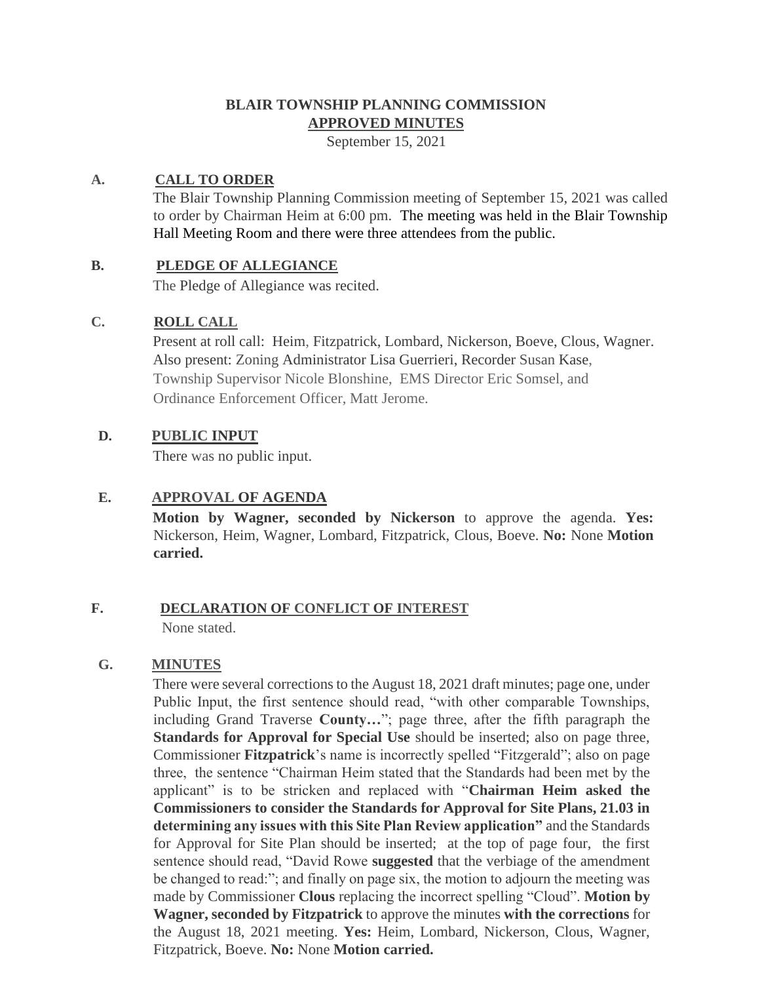# **BLAIR TOWNSHIP PLANNING COMMISSION APPROVED MINUTES**

September 15, 2021

### **A. CALL TO ORDER**

The Blair Township Planning Commission meeting of September 15, 2021 was called to order by Chairman Heim at 6:00 pm. The meeting was held in the Blair Township Hall Meeting Room and there were three attendees from the public.

### **B. PLEDGE OF ALLEGIANCE**

The Pledge of Allegiance was recited.

### **C. ROLL CALL**

Present at roll call: Heim, Fitzpatrick, Lombard, Nickerson, Boeve, Clous, Wagner. Also present: Zoning Administrator Lisa Guerrieri, Recorder Susan Kase, Township Supervisor Nicole Blonshine, EMS Director Eric Somsel, and Ordinance Enforcement Officer, Matt Jerome.

### **D. PUBLIC INPUT**

There was no public input.

## **E. APPROVAL OF AGENDA**

**Motion by Wagner, seconded by Nickerson** to approve the agenda. **Yes:**  Nickerson, Heim, Wagner, Lombard, Fitzpatrick, Clous, Boeve. **No:** None **Motion carried.**

### **F. DECLARATION OF CONFLICT OF INTEREST** None stated.

### **G. MINUTES**

There were several corrections to the August 18, 2021 draft minutes; page one, under Public Input, the first sentence should read, "with other comparable Townships, including Grand Traverse **County…**"; page three, after the fifth paragraph the **Standards for Approval for Special Use** should be inserted; also on page three, Commissioner **Fitzpatrick**'s name is incorrectly spelled "Fitzgerald"; also on page three, the sentence "Chairman Heim stated that the Standards had been met by the applicant" is to be stricken and replaced with "**Chairman Heim asked the Commissioners to consider the Standards for Approval for Site Plans, 21.03 in determining any issues with this Site Plan Review application"** and the Standards for Approval for Site Plan should be inserted; at the top of page four, the first sentence should read, "David Rowe **suggested** that the verbiage of the amendment be changed to read:"; and finally on page six, the motion to adjourn the meeting was made by Commissioner **Clous** replacing the incorrect spelling "Cloud". **Motion by Wagner, seconded by Fitzpatrick** to approve the minutes **with the corrections** for the August 18, 2021 meeting. **Yes:** Heim, Lombard, Nickerson, Clous, Wagner, Fitzpatrick, Boeve. **No:** None **Motion carried.**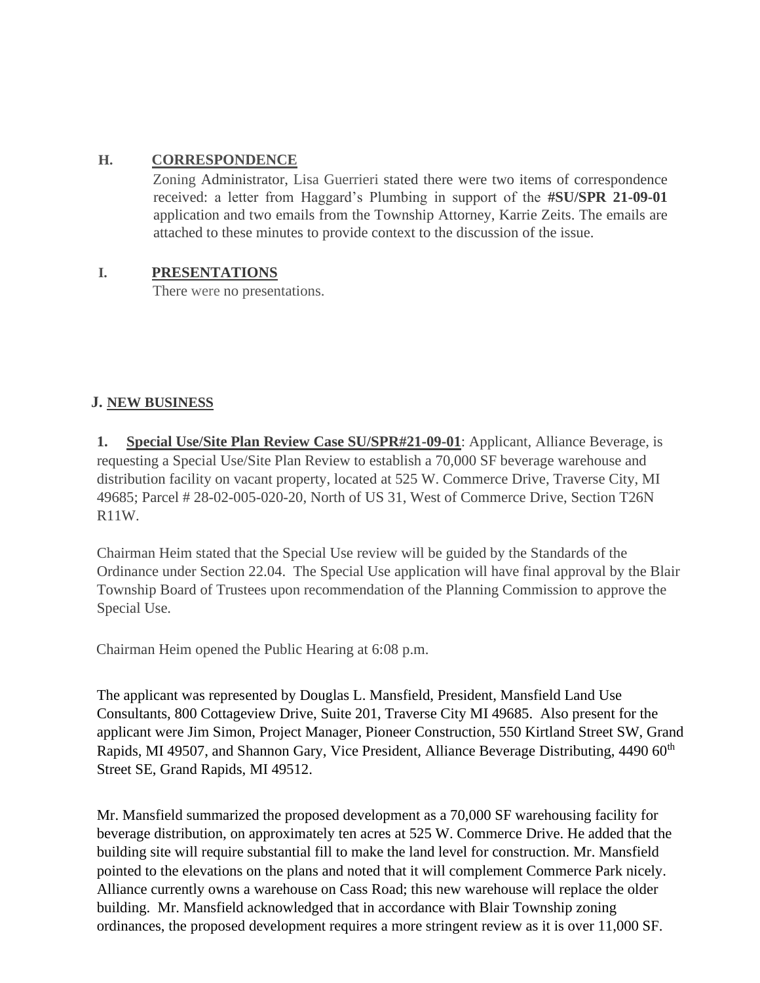## **H. CORRESPONDENCE**

Zoning Administrator, Lisa Guerrieri stated there were two items of correspondence received: a letter from Haggard's Plumbing in support of the **#SU/SPR 21-09-01**  application and two emails from the Township Attorney, Karrie Zeits. The emails are attached to these minutes to provide context to the discussion of the issue.

## **I. PRESENTATIONS**

There were no presentations.

## **J. NEW BUSINESS**

**Special Use/Site Plan Review Case SU/SPR#21-09-01**: Applicant, Alliance Beverage, is requesting a Special Use/Site Plan Review to establish a 70,000 SF beverage warehouse and distribution facility on vacant property, located at 525 W. Commerce Drive, Traverse City, MI 49685; Parcel # 28-02-005-020-20, North of US 31, West of Commerce Drive, Section T26N R11W.

Chairman Heim stated that the Special Use review will be guided by the Standards of the Ordinance under Section 22.04. The Special Use application will have final approval by the Blair Township Board of Trustees upon recommendation of the Planning Commission to approve the Special Use.

Chairman Heim opened the Public Hearing at 6:08 p.m.

The applicant was represented by Douglas L. Mansfield, President, Mansfield Land Use Consultants, 800 Cottageview Drive, Suite 201, Traverse City MI 49685. Also present for the applicant were Jim Simon, Project Manager, Pioneer Construction, 550 Kirtland Street SW, Grand Rapids, MI 49507, and Shannon Gary, Vice President, Alliance Beverage Distributing, 4490 60<sup>th</sup> Street SE, Grand Rapids, MI 49512.

Mr. Mansfield summarized the proposed development as a 70,000 SF warehousing facility for beverage distribution, on approximately ten acres at 525 W. Commerce Drive. He added that the building site will require substantial fill to make the land level for construction. Mr. Mansfield pointed to the elevations on the plans and noted that it will complement Commerce Park nicely. Alliance currently owns a warehouse on Cass Road; this new warehouse will replace the older building. Mr. Mansfield acknowledged that in accordance with Blair Township zoning ordinances, the proposed development requires a more stringent review as it is over 11,000 SF.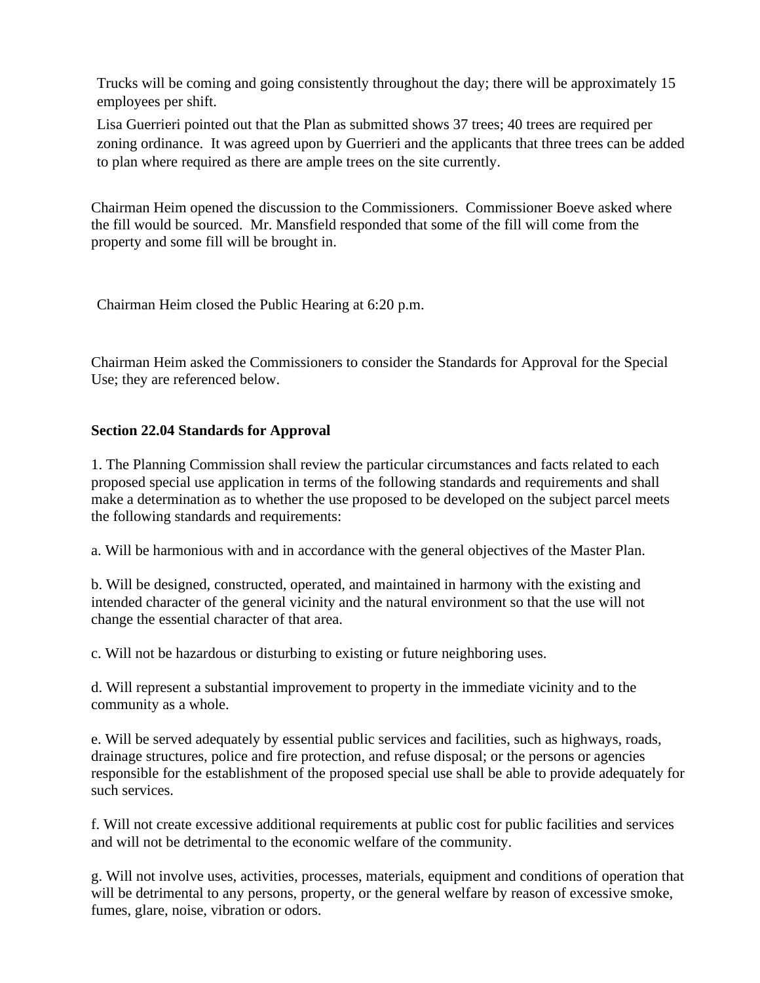Trucks will be coming and going consistently throughout the day; there will be approximately 15 employees per shift.

Lisa Guerrieri pointed out that the Plan as submitted shows 37 trees; 40 trees are required per zoning ordinance. It was agreed upon by Guerrieri and the applicants that three trees can be added to plan where required as there are ample trees on the site currently.

Chairman Heim opened the discussion to the Commissioners. Commissioner Boeve asked where the fill would be sourced. Mr. Mansfield responded that some of the fill will come from the property and some fill will be brought in.

Chairman Heim closed the Public Hearing at 6:20 p.m.

Chairman Heim asked the Commissioners to consider the Standards for Approval for the Special Use; they are referenced below.

## **Section 22.04 Standards for Approval**

1. The Planning Commission shall review the particular circumstances and facts related to each proposed special use application in terms of the following standards and requirements and shall make a determination as to whether the use proposed to be developed on the subject parcel meets the following standards and requirements:

a. Will be harmonious with and in accordance with the general objectives of the Master Plan.

b. Will be designed, constructed, operated, and maintained in harmony with the existing and intended character of the general vicinity and the natural environment so that the use will not change the essential character of that area.

c. Will not be hazardous or disturbing to existing or future neighboring uses.

d. Will represent a substantial improvement to property in the immediate vicinity and to the community as a whole.

e. Will be served adequately by essential public services and facilities, such as highways, roads, drainage structures, police and fire protection, and refuse disposal; or the persons or agencies responsible for the establishment of the proposed special use shall be able to provide adequately for such services.

f. Will not create excessive additional requirements at public cost for public facilities and services and will not be detrimental to the economic welfare of the community.

g. Will not involve uses, activities, processes, materials, equipment and conditions of operation that will be detrimental to any persons, property, or the general welfare by reason of excessive smoke, fumes, glare, noise, vibration or odors.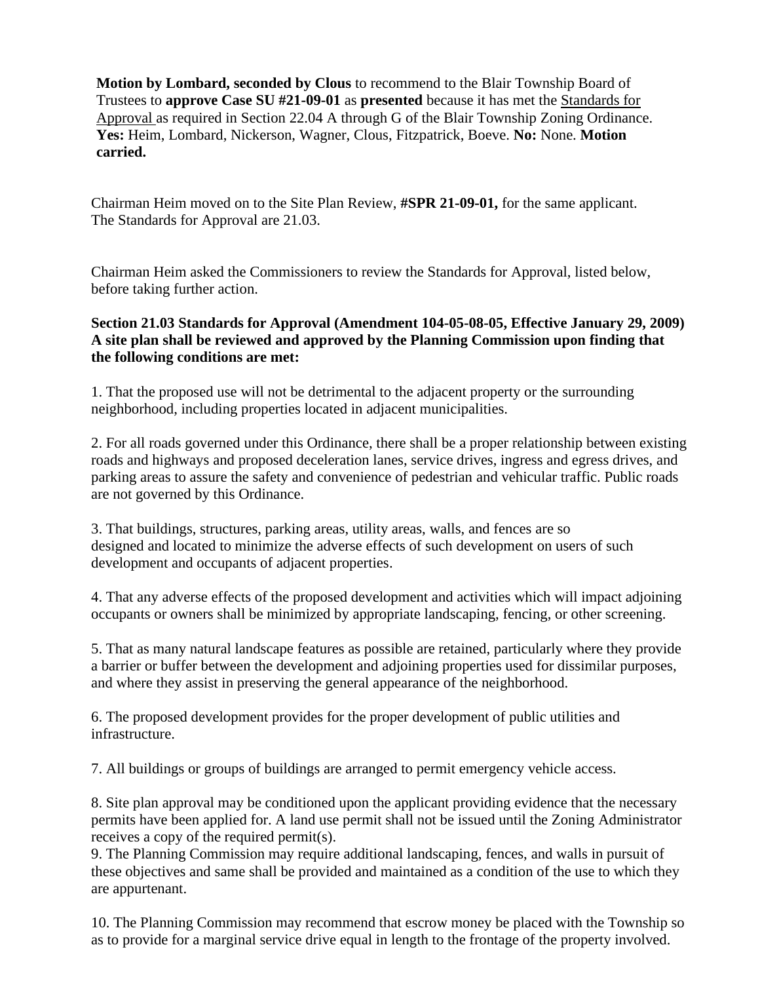**Motion by Lombard, seconded by Clous** to recommend to the Blair Township Board of Trustees to **approve Case SU #21-09-01** as **presented** because it has met the Standards for Approval as required in Section 22.04 A through G of the Blair Township Zoning Ordinance. **Yes:** Heim, Lombard, Nickerson, Wagner, Clous, Fitzpatrick, Boeve. **No:** None. **Motion carried.** 

Chairman Heim moved on to the Site Plan Review, **#SPR 21-09-01,** for the same applicant. The Standards for Approval are 21.03.

Chairman Heim asked the Commissioners to review the Standards for Approval, listed below, before taking further action.

## **Section 21.03 Standards for Approval (Amendment 104-05-08-05, Effective January 29, 2009) A site plan shall be reviewed and approved by the Planning Commission upon finding that the following conditions are met:**

1. That the proposed use will not be detrimental to the adjacent property or the surrounding neighborhood, including properties located in adjacent municipalities.

2. For all roads governed under this Ordinance, there shall be a proper relationship between existing roads and highways and proposed deceleration lanes, service drives, ingress and egress drives, and parking areas to assure the safety and convenience of pedestrian and vehicular traffic. Public roads are not governed by this Ordinance.

3. That buildings, structures, parking areas, utility areas, walls, and fences are so designed and located to minimize the adverse effects of such development on users of such development and occupants of adjacent properties.

4. That any adverse effects of the proposed development and activities which will impact adjoining occupants or owners shall be minimized by appropriate landscaping, fencing, or other screening.

5. That as many natural landscape features as possible are retained, particularly where they provide a barrier or buffer between the development and adjoining properties used for dissimilar purposes, and where they assist in preserving the general appearance of the neighborhood.

6. The proposed development provides for the proper development of public utilities and infrastructure.

7. All buildings or groups of buildings are arranged to permit emergency vehicle access.

8. Site plan approval may be conditioned upon the applicant providing evidence that the necessary permits have been applied for. A land use permit shall not be issued until the Zoning Administrator receives a copy of the required permit(s).

9. The Planning Commission may require additional landscaping, fences, and walls in pursuit of these objectives and same shall be provided and maintained as a condition of the use to which they are appurtenant.

10. The Planning Commission may recommend that escrow money be placed with the Township so as to provide for a marginal service drive equal in length to the frontage of the property involved.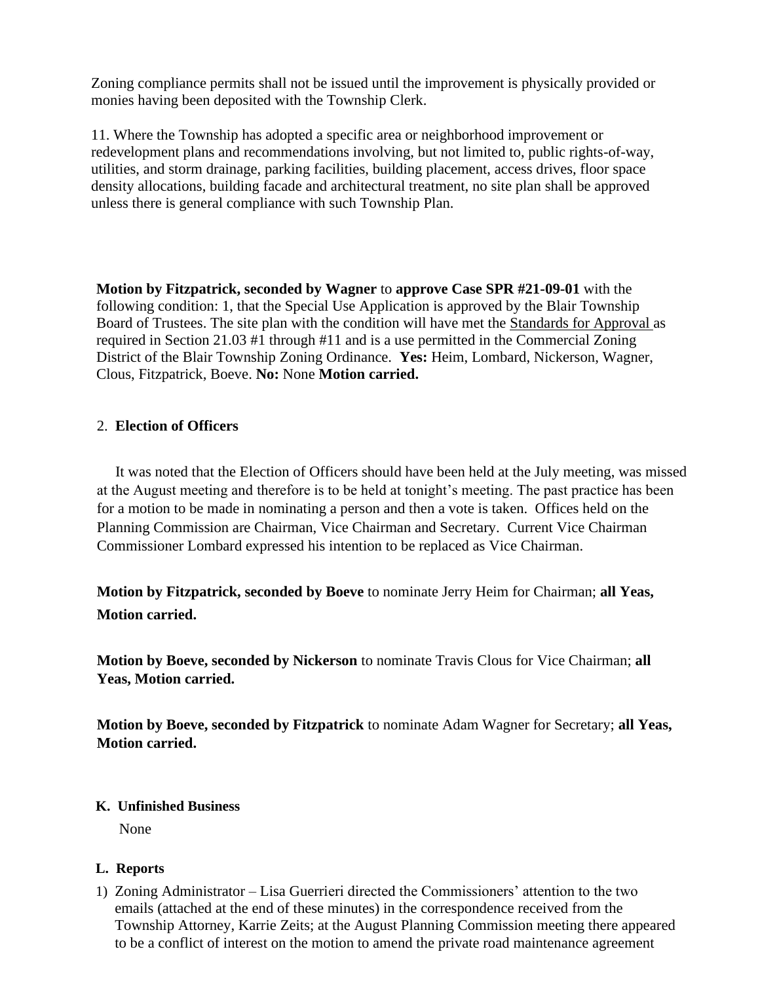Zoning compliance permits shall not be issued until the improvement is physically provided or monies having been deposited with the Township Clerk.

11. Where the Township has adopted a specific area or neighborhood improvement or redevelopment plans and recommendations involving, but not limited to, public rights-of-way, utilities, and storm drainage, parking facilities, building placement, access drives, floor space density allocations, building facade and architectural treatment, no site plan shall be approved unless there is general compliance with such Township Plan.

**Motion by Fitzpatrick, seconded by Wagner** to **approve Case SPR #21-09-01** with the following condition: 1, that the Special Use Application is approved by the Blair Township Board of Trustees. The site plan with the condition will have met the Standards for Approval as required in Section 21.03 #1 through #11 and is a use permitted in the Commercial Zoning District of the Blair Township Zoning Ordinance. **Yes:** Heim, Lombard, Nickerson, Wagner, Clous, Fitzpatrick, Boeve. **No:** None **Motion carried.** 

## 2. **Election of Officers**

It was noted that the Election of Officers should have been held at the July meeting, was missed at the August meeting and therefore is to be held at tonight's meeting. The past practice has been for a motion to be made in nominating a person and then a vote is taken. Offices held on the Planning Commission are Chairman, Vice Chairman and Secretary. Current Vice Chairman Commissioner Lombard expressed his intention to be replaced as Vice Chairman.

**Motion by Fitzpatrick, seconded by Boeve** to nominate Jerry Heim for Chairman; **all Yeas, Motion carried.** 

**Motion by Boeve, seconded by Nickerson** to nominate Travis Clous for Vice Chairman; **all Yeas, Motion carried.**

**Motion by Boeve, seconded by Fitzpatrick** to nominate Adam Wagner for Secretary; **all Yeas, Motion carried.**

### **K. Unfinished Business**

None

### **L. Reports**

1) Zoning Administrator – Lisa Guerrieri directed the Commissioners' attention to the two emails (attached at the end of these minutes) in the correspondence received from the Township Attorney, Karrie Zeits; at the August Planning Commission meeting there appeared to be a conflict of interest on the motion to amend the private road maintenance agreement